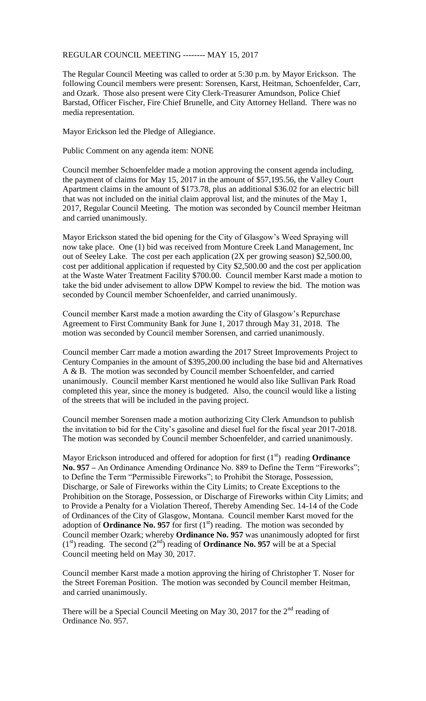## REGULAR COUNCIL MEETING -------- MAY 15, 2017

The Regular Council Meeting was called to order at 5:30 p.m. by Mayor Erickson. The following Council members were present: Sorensen, Karst, Heitman, Schoenfelder, Carr, and Ozark. Those also present were City Clerk-Treasurer Amundson, Police Chief Barstad, Officer Fischer, Fire Chief Brunelle, and City Attorney Helland. There was no media representation.

Mayor Erickson led the Pledge of Allegiance.

Public Comment on any agenda item: NONE

Council member Schoenfelder made a motion approving the consent agenda including, the payment of claims for May 15, 2017 in the amount of \$57,195.56, the Valley Court Apartment claims in the amount of \$173.78, plus an additional \$36.02 for an electric bill that was not included on the initial claim approval list, and the minutes of the May 1, 2017, Regular Council Meeting. The motion was seconded by Council member Heitman and carried unanimously.

Mayor Erickson stated the bid opening for the City of Glasgow's Weed Spraying will now take place. One (1) bid was received from Monture Creek Land Management, Inc out of Seeley Lake. The cost per each application (2X per growing season) \$2,500.00, cost per additional application if requested by City \$2,500.00 and the cost per application at the Waste Water Treatment Facility \$700.00. Council member Karst made a motion to take the bid under advisement to allow DPW Kompel to review the bid. The motion was seconded by Council member Schoenfelder, and carried unanimously.

Council member Karst made a motion awarding the City of Glasgow's Repurchase Agreement to First Community Bank for June 1, 2017 through May 31, 2018. The motion was seconded by Council member Sorensen, and carried unanimously.

Council member Carr made a motion awarding the 2017 Street Improvements Project to Century Companies in the amount of \$395,200.00 including the base bid and Alternatives A & B. The motion was seconded by Council member Schoenfelder, and carried unanimously. Council member Karst mentioned he would also like Sullivan Park Road completed this year, since the money is budgeted. Also, the council would like a listing of the streets that will be included in the paving project.

Council member Sorensen made a motion authorizing City Clerk Amundson to publish the invitation to bid for the City's gasoline and diesel fuel for the fiscal year 2017-2018. The motion was seconded by Council member Schoenfelder, and carried unanimously.

Mayor Erickson introduced and offered for adoption for first  $(1<sup>st</sup>)$  reading **Ordinance No. 957 –** An Ordinance Amending Ordinance No. 889 to Define the Term "Fireworks"; to Define the Term "Permissible Fireworks"; to Prohibit the Storage, Possession, Discharge, or Sale of Fireworks within the City Limits; to Create Exceptions to the Prohibition on the Storage, Possession, or Discharge of Fireworks within City Limits; and to Provide a Penalty for a Violation Thereof, Thereby Amending Sec. 14-14 of the Code of Ordinances of the City of Glasgow, Montana. Council member Karst moved for the adoption of **Ordinance No. 957** for first  $(1<sup>st</sup>)$  reading. The motion was seconded by Council member Ozark; whereby **Ordinance No. 957** was unanimously adopted for first  $(1<sup>st</sup>)$  reading. The second  $(2<sup>nd</sup>)$  reading of **Ordinance No. 957** will be at a Special Council meeting held on May 30, 2017.

Council member Karst made a motion approving the hiring of Christopher T. Noser for the Street Foreman Position. The motion was seconded by Council member Heitman, and carried unanimously.

There will be a Special Council Meeting on May 30, 2017 for the  $2<sup>nd</sup>$  reading of Ordinance No. 957.